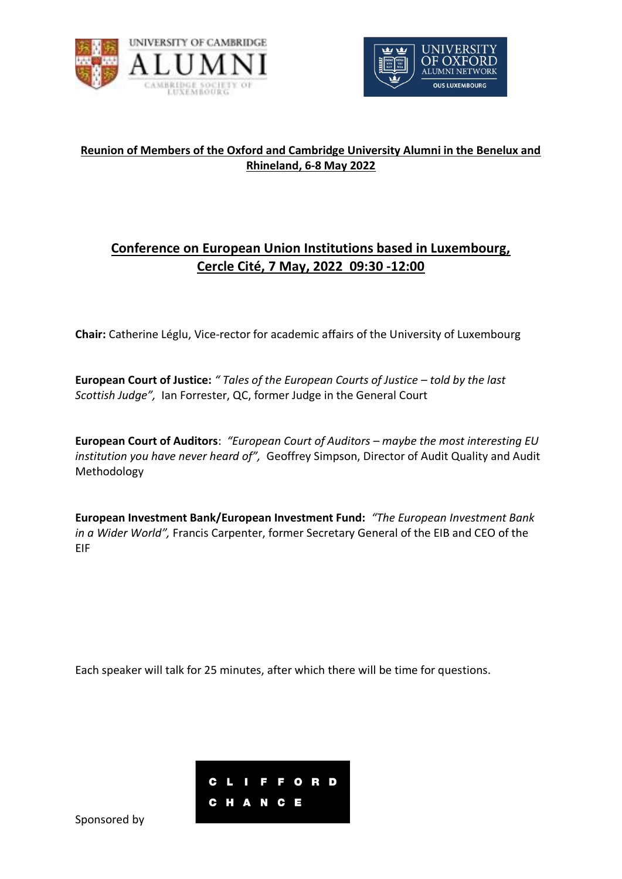



### **Reunion of Members of the Oxford and Cambridge University Alumni in the Benelux and Rhineland, 6-8 May 2022**

# **Conference on European Union Institutions based in Luxembourg, Cercle Cité, 7 May, 2022 09:30 -12:00**

**Chair:** Catherine Léglu, Vice-rector for academic affairs of the University of Luxembourg

**European Court of Justice:** *" Tales of the European Courts of Justice – told by the last Scottish Judge",* Ian Forrester, QC, former Judge in the General Court

**European Court of Auditors**: *"European Court of Auditors – maybe the most interesting EU institution you have never heard of",* Geoffrey Simpson, Director of Audit Quality and Audit Methodology

**European Investment Bank/European Investment Fund:** *"The European Investment Bank in a Wider World",* Francis Carpenter, former Secretary General of the EIB and CEO of the EIF

Each speaker will talk for 25 minutes, after which there will be time for questions.